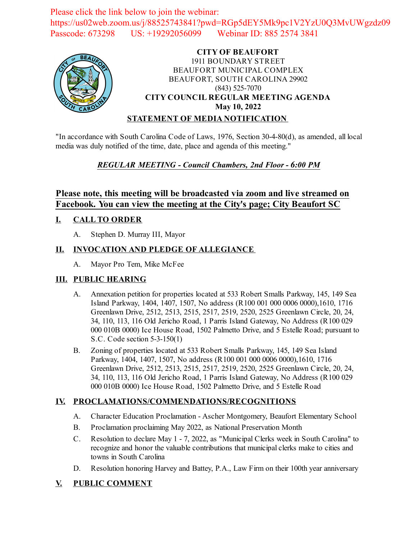Please click the link below to join the webinar: https://us02web.zoom.us/j/88525743841?pwd=RGp5dEY5Mk9pc1V2YzU0Q3MvUWgzdz09 Passcode: 673298 US: +19292056099 Webinar ID: 885 2574 3841



### **CITY OF BEAUFORT** 1911 BOUNDARY STREET BEAUFORT MUNICIPAL COMPLEX BEAUFORT, SOUTH CAROLINA 29902 (843) 525-7070 **CITY COUNCIL REGULAR MEETING AGENDA May 10, 2022 STATEMENT OF MEDIA NOTIFICATION**

"In accordance with South Carolina Code of Laws, 1976, Section 30-4-80(d), as amended, all local media was duly notified of the time, date, place and agenda of this meeting."

# *REGULAR MEETING - Council Chambers, 2nd Floor - 6:00 PM*

# **Please note, this meeting will be broadcasted via zoom and live streamed on Facebook. You can view the meeting at the City's page; City Beaufort SC**

# **I. CALL TO ORDER**

A. Stephen D. Murray III, Mayor

### **II. INVOCATION AND PLEDGE OF ALLEGIANCE**

A. Mayor Pro Tem, Mike McFee

### **III. PUBLIC HEARING**

- A. [Annexation petition for properties located at 533 Robert Smalls Parkway, 145, 149 Sea](file:///C:/Windows/TEMP/CoverSheet.aspx?ItemID=2514&MeetingID=357) Island Parkway, 1404, 1407, 1507, No address (R100 001 000 0006 0000),1610, 1716 Greenlawn Drive, 2512, 2513, 2515, 2517, 2519, 2520, 2525 Greenlawn Circle, 20, 24, 34, 110, 113, 116 Old Jericho Road, 1 Parris Island Gateway, No Address (R100 029 000 010B 0000) Ice House Road, 1502 Palmetto Drive, and 5 Estelle Road; pursuant to S.C. Code section 5-3-150(1)
- B. Zoning of properties located at 533 Robert Smalls Parkway, 145, 149 Sea Island Parkway, 1404, 1407, 1507, No address (R100 001 000 0006 0000),1610, 1716 Greenlawn Drive, 2512, 2513, 2515, 2517, 2519, 2520, 2525 Greenlawn Circle, 20, 24, 34, 110, 113, 116 Old Jericho Road, 1 Parris Island Gateway, No Address (R100 029 000 010B 0000) Ice House Road, 1502 Palmetto Drive, and 5 Estelle Road

### **IV. PROCLAMATIONS/COMMENDATIONS/RECOGNITIONS**

- A. Character Education Proclamation Ascher Montgomery, Beaufort Elementary School
- B. [Proclamation proclaiming May 2022, as National Preservation Month](file:///C:/Windows/TEMP/CoverSheet.aspx?ItemID=2502&MeetingID=357)
- C. Resolution to declare May 1 7, 2022, as "Municipal Clerks week in South Carolina" to recognize and honor the valuable contributions that municipal clerks make to cities and towns in South Carolina
- D. Resolution honoring Harvey and Battey, P.A., Law Firm on their 100th year anniversary

### **V. PUBLIC COMMENT**